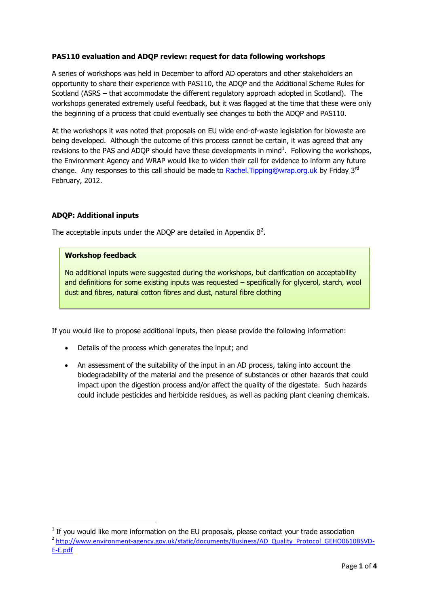# **PAS110 evaluation and ADQP review: request for data following workshops**

A series of workshops was held in December to afford AD operators and other stakeholders an opportunity to share their experience with PAS110, the ADQP and the Additional Scheme Rules for Scotland (ASRS – that accommodate the different regulatory approach adopted in Scotland). The workshops generated extremely useful feedback, but it was flagged at the time that these were only the beginning of a process that could eventually see changes to both the ADQP and PAS110.

At the workshops it was noted that proposals on EU wide end-of-waste legislation for biowaste are being developed. Although the outcome of this process cannot be certain, it was agreed that any revisions to the PAS and ADQP should have these developments in mind<sup>1</sup>. Following the workshops, the Environment Agency and WRAP would like to widen their call for evidence to inform any future change. Any responses to this call should be made to Rachel. Tipping@wrap.org.uk by Friday  $3^{rd}$ February, 2012.

## **ADQP: Additional inputs**

The acceptable inputs under the ADQP are detailed in Appendix  $B^2$ .

## **Workshop feedback**

No additional inputs were suggested during the workshops, but clarification on acceptability and definitions for some existing inputs was requested – specifically for glycerol, starch, wool dust and fibres, natural cotton fibres and dust, natural fibre clothing

If you would like to propose additional inputs, then please provide the following information:

- Details of the process which generates the input; and
- An assessment of the suitability of the input in an AD process, taking into account the biodegradability of the material and the presence of substances or other hazards that could impact upon the digestion process and/or affect the quality of the digestate. Such hazards could include pesticides and herbicide residues, as well as packing plant cleaning chemicals.

 $\overline{\phantom{a}}$ 

 $1$  If you would like more information on the EU proposals, please contact your trade association <sup>2</sup> [http://www.environment-agency.gov.uk/static/documents/Business/AD\\_Quality\\_Protocol\\_GEHO0610BSVD-](http://www.environment-agency.gov.uk/static/documents/Business/AD_Quality_Protocol_GEHO0610BSVD-E-E.pdf)

[E-E.pdf](http://www.environment-agency.gov.uk/static/documents/Business/AD_Quality_Protocol_GEHO0610BSVD-E-E.pdf)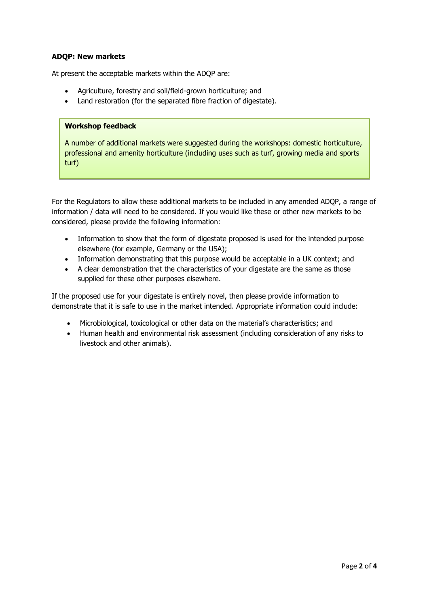## **ADQP: New markets**

At present the acceptable markets within the ADQP are:

- Agriculture, forestry and soil/field-grown horticulture; and
- Land restoration (for the separated fibre fraction of digestate).

### **Workshop feedback**

A number of additional markets were suggested during the workshops: domestic horticulture, professional and amenity horticulture (including uses such as turf, growing media and sports turf)

For the Regulators to allow these additional markets to be included in any amended ADQP, a range of information / data will need to be considered. If you would like these or other new markets to be considered, please provide the following information:

- Information to show that the form of digestate proposed is used for the intended purpose elsewhere (for example, Germany or the USA);
- Information demonstrating that this purpose would be acceptable in a UK context; and
- A clear demonstration that the characteristics of your digestate are the same as those supplied for these other purposes elsewhere.

If the proposed use for your digestate is entirely novel, then please provide information to demonstrate that it is safe to use in the market intended. Appropriate information could include:

- Microbiological, toxicological or other data on the material's characteristics; and
- Human health and environmental risk assessment (including consideration of any risks to livestock and other animals).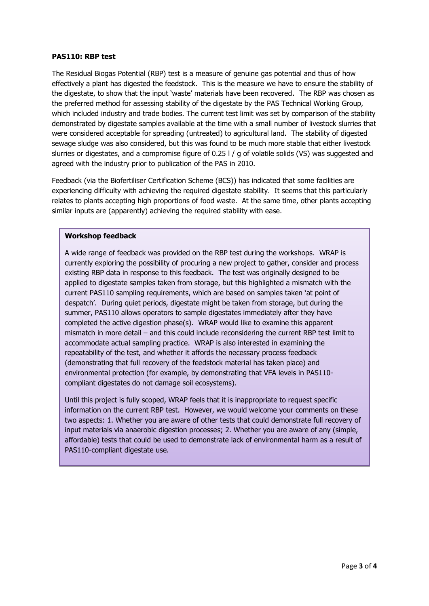#### **PAS110: RBP test**

The Residual Biogas Potential (RBP) test is a measure of genuine gas potential and thus of how effectively a plant has digested the feedstock. This is the measure we have to ensure the stability of the digestate, to show that the input 'waste' materials have been recovered. The RBP was chosen as the preferred method for assessing stability of the digestate by the PAS Technical Working Group, which included industry and trade bodies. The current test limit was set by comparison of the stability demonstrated by digestate samples available at the time with a small number of livestock slurries that were considered acceptable for spreading (untreated) to agricultural land. The stability of digested sewage sludge was also considered, but this was found to be much more stable that either livestock slurries or digestates, and a compromise figure of 0.25 l / g of volatile solids (VS) was suggested and agreed with the industry prior to publication of the PAS in 2010.

Feedback (via the Biofertiliser Certification Scheme (BCS)) has indicated that some facilities are experiencing difficulty with achieving the required digestate stability. It seems that this particularly relates to plants accepting high proportions of food waste. At the same time, other plants accepting similar inputs are (apparently) achieving the required stability with ease.

#### **Workshop feedback**

A wide range of feedback was provided on the RBP test during the workshops. WRAP is currently exploring the possibility of procuring a new project to gather, consider and process existing RBP data in response to this feedback. The test was originally designed to be applied to digestate samples taken from storage, but this highlighted a mismatch with the current PAS110 sampling requirements, which are based on samples taken 'at point of despatch'. During quiet periods, digestate might be taken from storage, but during the summer, PAS110 allows operators to sample digestates immediately after they have completed the active digestion phase(s). WRAP would like to examine this apparent mismatch in more detail – and this could include reconsidering the current RBP test limit to accommodate actual sampling practice. WRAP is also interested in examining the repeatability of the test, and whether it affords the necessary process feedback (demonstrating that full recovery of the feedstock material has taken place) and environmental protection (for example, by demonstrating that VFA levels in PAS110 compliant digestates do not damage soil ecosystems).

Until this project is fully scoped, WRAP feels that it is inappropriate to request specific information on the current RBP test. However, we would welcome your comments on these two aspects: 1. Whether you are aware of other tests that could demonstrate full recovery of input materials via anaerobic digestion processes; 2. Whether you are aware of any (simple, affordable) tests that could be used to demonstrate lack of environmental harm as a result of PAS110-compliant digestate use.